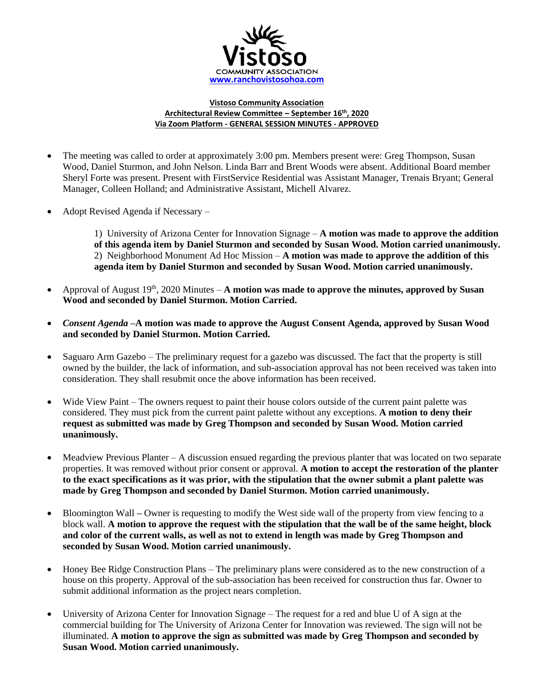

## **Vistoso Community Association Architectural Review Committee – September 16th , 2020 Via Zoom Platform - GENERAL SESSION MINUTES - APPROVED**

- The meeting was called to order at approximately 3:00 pm. Members present were: Greg Thompson, Susan Wood, Daniel Sturmon, and John Nelson. Linda Barr and Brent Woods were absent. Additional Board member Sheryl Forte was present. Present with FirstService Residential was Assistant Manager, Trenais Bryant; General Manager, Colleen Holland; and Administrative Assistant, Michell Alvarez.
- Adopt Revised Agenda if Necessary –

1) University of Arizona Center for Innovation Signage – **A motion was made to approve the addition of this agenda item by Daniel Sturmon and seconded by Susan Wood. Motion carried unanimously.** 2) Neighborhood Monument Ad Hoc Mission – **A motion was made to approve the addition of this agenda item by Daniel Sturmon and seconded by Susan Wood. Motion carried unanimously.** 

- Approval of August 19<sup>th</sup>, 2020 Minutes A motion was made to approve the minutes, approved by Susan **Wood and seconded by Daniel Sturmon. Motion Carried.**
- *Consent Agenda –***A motion was made to approve the August Consent Agenda, approved by Susan Wood and seconded by Daniel Sturmon. Motion Carried.**
- Saguaro Arm Gazebo The preliminary request for a gazebo was discussed. The fact that the property is still owned by the builder, the lack of information, and sub-association approval has not been received was taken into consideration. They shall resubmit once the above information has been received.
- Wide View Paint The owners request to paint their house colors outside of the current paint palette was considered. They must pick from the current paint palette without any exceptions. **A motion to deny their request as submitted was made by Greg Thompson and seconded by Susan Wood. Motion carried unanimously.**
- Meadview Previous Planter A discussion ensued regarding the previous planter that was located on two separate properties. It was removed without prior consent or approval. **A motion to accept the restoration of the planter to the exact specifications as it was prior, with the stipulation that the owner submit a plant palette was made by Greg Thompson and seconded by Daniel Sturmon. Motion carried unanimously.**
- Bloomington Wall Owner is requesting to modify the West side wall of the property from view fencing to a block wall. **A motion to approve the request with the stipulation that the wall be of the same height, block and color of the current walls, as well as not to extend in length was made by Greg Thompson and seconded by Susan Wood. Motion carried unanimously.**
- Honey Bee Ridge Construction Plans The preliminary plans were considered as to the new construction of a house on this property. Approval of the sub-association has been received for construction thus far. Owner to submit additional information as the project nears completion.
- University of Arizona Center for Innovation Signage The request for a red and blue U of A sign at the commercial building for The University of Arizona Center for Innovation was reviewed. The sign will not be illuminated. **A motion to approve the sign as submitted was made by Greg Thompson and seconded by Susan Wood. Motion carried unanimously.**